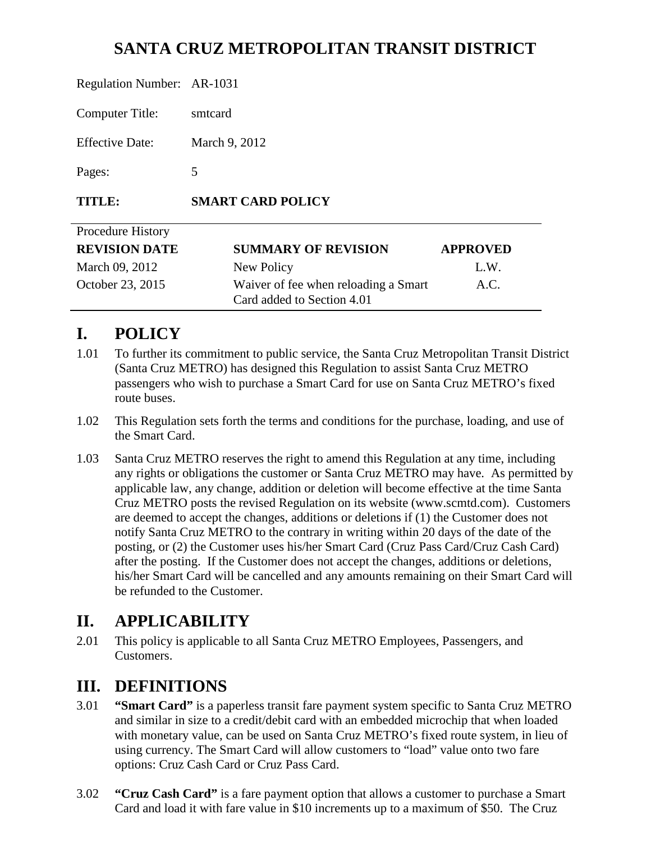## **SANTA CRUZ METROPOLITAN TRANSIT DISTRICT**

| Regulation Number: AR-1031 |                                                                    |                 |
|----------------------------|--------------------------------------------------------------------|-----------------|
| <b>Computer Title:</b>     | smtcard                                                            |                 |
| <b>Effective Date:</b>     | March 9, 2012                                                      |                 |
| Pages:                     | 5                                                                  |                 |
| <b>TITLE:</b>              | <b>SMART CARD POLICY</b>                                           |                 |
| Procedure History          |                                                                    |                 |
| <b>REVISION DATE</b>       | <b>SUMMARY OF REVISION</b>                                         | <b>APPROVED</b> |
| March 09, 2012             | New Policy                                                         | L.W.            |
| October 23, 2015           | Waiver of fee when reloading a Smart<br>Card added to Section 4.01 | A.C.            |

#### **I. POLICY**

- 1.01 To further its commitment to public service, the Santa Cruz Metropolitan Transit District (Santa Cruz METRO) has designed this Regulation to assist Santa Cruz METRO passengers who wish to purchase a Smart Card for use on Santa Cruz METRO's fixed route buses.
- 1.02 This Regulation sets forth the terms and conditions for the purchase, loading, and use of the Smart Card.
- 1.03 Santa Cruz METRO reserves the right to amend this Regulation at any time, including any rights or obligations the customer or Santa Cruz METRO may have. As permitted by applicable law, any change, addition or deletion will become effective at the time Santa Cruz METRO posts the revised Regulation on its website (www.scmtd.com). Customers are deemed to accept the changes, additions or deletions if (1) the Customer does not notify Santa Cruz METRO to the contrary in writing within 20 days of the date of the posting, or (2) the Customer uses his/her Smart Card (Cruz Pass Card/Cruz Cash Card) after the posting. If the Customer does not accept the changes, additions or deletions, his/her Smart Card will be cancelled and any amounts remaining on their Smart Card will be refunded to the Customer.

#### **II. APPLICABILITY**

2.01 This policy is applicable to all Santa Cruz METRO Employees, Passengers, and Customers.

#### **III. DEFINITIONS**

- 3.01 **"Smart Card"** is a paperless transit fare payment system specific to Santa Cruz METRO and similar in size to a credit/debit card with an embedded microchip that when loaded with monetary value, can be used on Santa Cruz METRO's fixed route system, in lieu of using currency. The Smart Card will allow customers to "load" value onto two fare options: Cruz Cash Card or Cruz Pass Card.
- 3.02 **"Cruz Cash Card"** is a fare payment option that allows a customer to purchase a Smart Card and load it with fare value in \$10 increments up to a maximum of \$50. The Cruz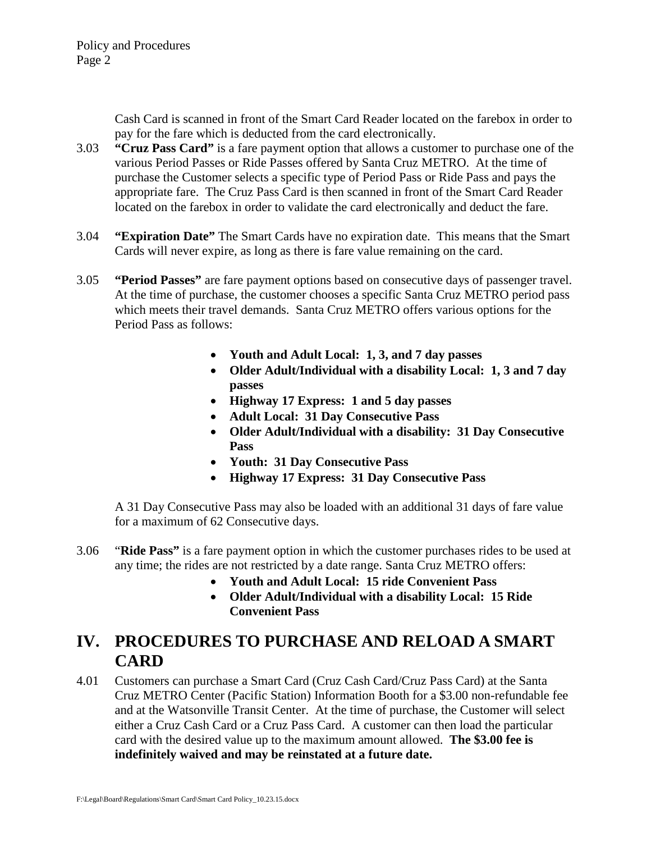Cash Card is scanned in front of the Smart Card Reader located on the farebox in order to pay for the fare which is deducted from the card electronically.

- 3.03 **"Cruz Pass Card"** is a fare payment option that allows a customer to purchase one of the various Period Passes or Ride Passes offered by Santa Cruz METRO. At the time of purchase the Customer selects a specific type of Period Pass or Ride Pass and pays the appropriate fare. The Cruz Pass Card is then scanned in front of the Smart Card Reader located on the farebox in order to validate the card electronically and deduct the fare.
- 3.04 **"Expiration Date"** The Smart Cards have no expiration date. This means that the Smart Cards will never expire, as long as there is fare value remaining on the card.
- 3.05 **"Period Passes"** are fare payment options based on consecutive days of passenger travel. At the time of purchase, the customer chooses a specific Santa Cruz METRO period pass which meets their travel demands. Santa Cruz METRO offers various options for the Period Pass as follows:
	- **Youth and Adult Local: 1, 3, and 7 day passes**
	- **Older Adult/Individual with a disability Local: 1, 3 and 7 day passes**
	- **Highway 17 Express: 1 and 5 day passes**
	- **Adult Local: 31 Day Consecutive Pass**
	- **Older Adult/Individual with a disability: 31 Day Consecutive Pass**
	- **Youth: 31 Day Consecutive Pass**
	- **Highway 17 Express: 31 Day Consecutive Pass**

A 31 Day Consecutive Pass may also be loaded with an additional 31 days of fare value for a maximum of 62 Consecutive days.

- 3.06 "**Ride Pass"** is a fare payment option in which the customer purchases rides to be used at any time; the rides are not restricted by a date range. Santa Cruz METRO offers:
	- **Youth and Adult Local: 15 ride Convenient Pass**
	- **Older Adult/Individual with a disability Local: 15 Ride Convenient Pass**

#### **IV. PROCEDURES TO PURCHASE AND RELOAD A SMART CARD**

4.01 Customers can purchase a Smart Card (Cruz Cash Card/Cruz Pass Card) at the Santa Cruz METRO Center (Pacific Station) Information Booth for a \$3.00 non-refundable fee and at the Watsonville Transit Center. At the time of purchase, the Customer will select either a Cruz Cash Card or a Cruz Pass Card. A customer can then load the particular card with the desired value up to the maximum amount allowed. **The \$3.00 fee is indefinitely waived and may be reinstated at a future date.**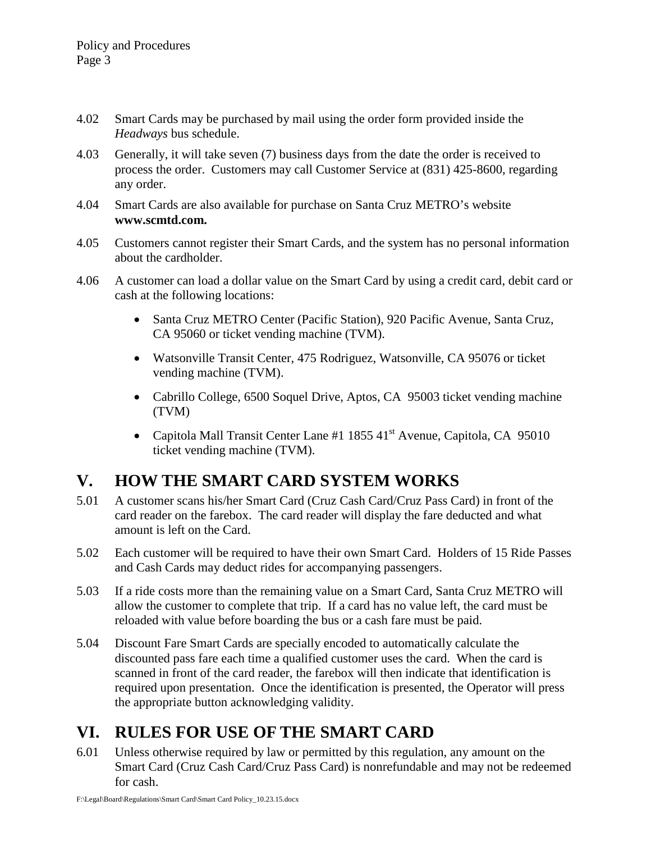- 4.02 Smart Cards may be purchased by mail using the order form provided inside the *Headways* bus schedule.
- 4.03 Generally, it will take seven (7) business days from the date the order is received to process the order. Customers may call Customer Service at (831) 425-8600, regarding any order.
- 4.04 Smart Cards are also available for purchase on Santa Cruz METRO's website **www.scmtd.com.**
- 4.05 Customers cannot register their Smart Cards, and the system has no personal information about the cardholder.
- 4.06 A customer can load a dollar value on the Smart Card by using a credit card, debit card or cash at the following locations:
	- Santa Cruz METRO Center (Pacific Station), 920 Pacific Avenue, Santa Cruz, CA 95060 or ticket vending machine (TVM).
	- Watsonville Transit Center, 475 Rodriguez, Watsonville, CA 95076 or ticket vending machine (TVM).
	- Cabrillo College, 6500 Soquel Drive, Aptos, CA 95003 ticket vending machine (TVM)
	- Capitola Mall Transit Center Lane #1 1855  $41<sup>st</sup>$  Avenue, Capitola, CA 95010 ticket vending machine (TVM).

## **V. HOW THE SMART CARD SYSTEM WORKS**

- 5.01 A customer scans his/her Smart Card (Cruz Cash Card/Cruz Pass Card) in front of the card reader on the farebox. The card reader will display the fare deducted and what amount is left on the Card.
- 5.02 Each customer will be required to have their own Smart Card. Holders of 15 Ride Passes and Cash Cards may deduct rides for accompanying passengers.
- 5.03 If a ride costs more than the remaining value on a Smart Card, Santa Cruz METRO will allow the customer to complete that trip. If a card has no value left, the card must be reloaded with value before boarding the bus or a cash fare must be paid.
- 5.04 Discount Fare Smart Cards are specially encoded to automatically calculate the discounted pass fare each time a qualified customer uses the card. When the card is scanned in front of the card reader, the farebox will then indicate that identification is required upon presentation. Once the identification is presented, the Operator will press the appropriate button acknowledging validity.

# **VI. RULES FOR USE OF THE SMART CARD**

6.01 Unless otherwise required by law or permitted by this regulation, any amount on the Smart Card (Cruz Cash Card/Cruz Pass Card) is nonrefundable and may not be redeemed for cash.